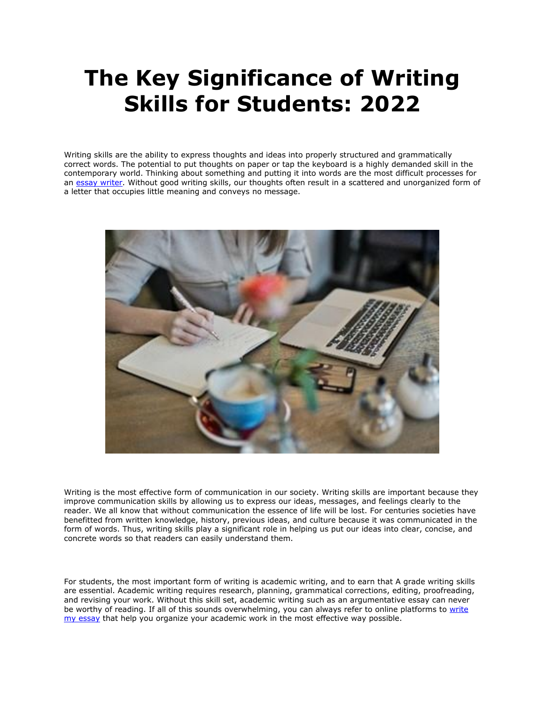## **The Key Significance of Writing Skills for Students: 2022**

Writing skills are the ability to express thoughts and ideas into properly structured and grammatically correct words. The potential to put thoughts on paper or tap the keyboard is a highly demanded skill in the contemporary world. Thinking about something and putting it into words are the most difficult processes for an [essay writer.](https://essayhours.com/) Without good writing skills, our thoughts often result in a scattered and unorganized form of a letter that occupies little meaning and conveys no message.



Writing is the most effective form of communication in our society. Writing skills are important because they improve communication skills by allowing us to express our ideas, messages, and feelings clearly to the reader. We all know that without communication the essence of life will be lost. For centuries societies have benefitted from written knowledge, history, previous ideas, and culture because it was communicated in the form of words. Thus, writing skills play a significant role in helping us put our ideas into clear, concise, and concrete words so that readers can easily understand them.

For students, the most important form of writing is academic writing, and to earn that A grade writing skills are essential. Academic writing requires research, planning, grammatical corrections, editing, proofreading, and revising your work. Without this skill set, academic writing such as an argumentative essay can never be worthy of reading. If all of this sounds overwhelming, you can always refer to online platforms to write [my essay](https://www.5staressays.com/) that help you organize your academic work in the most effective way possible.